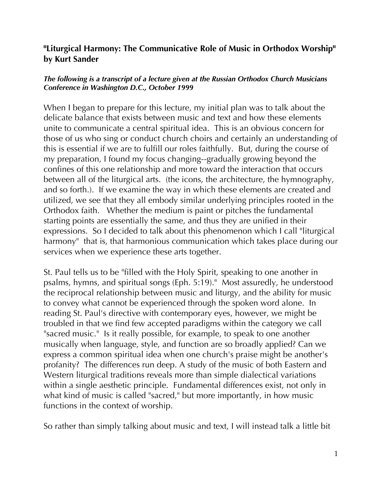#### **"Liturgical Harmony: The Communicative Role of Music in Orthodox Worship" by Kurt Sander**

#### *The following is a transcript of a lecture given at the Russian Orthodox Church Musicians Conference in Washington D.C., October 1999*

When I began to prepare for this lecture, my initial plan was to talk about the delicate balance that exists between music and text and how these elements unite to communicate a central spiritual idea. This is an obvious concern for those of us who sing or conduct church choirs and certainly an understanding of this is essential if we are to fulfill our roles faithfully. But, during the course of my preparation, I found my focus changing--gradually growing beyond the confines of this one relationship and more toward the interaction that occurs between all of the liturgical arts. (the icons, the architecture, the hymnography, and so forth.). If we examine the way in which these elements are created and utilized, we see that they all embody similar underlying principles rooted in the Orthodox faith. Whether the medium is paint or pitches the fundamental starting points are essentially the same, and thus they are unified in their expressions. So I decided to talk about this phenomenon which I call "liturgical harmony" that is, that harmonious communication which takes place during our services when we experience these arts together.

St. Paul tells us to be "filled with the Holy Spirit, speaking to one another in psalms, hymns, and spiritual songs (Eph. 5:19)." Most assuredly, he understood the reciprocal relationship between music and liturgy, and the ability for music to convey what cannot be experienced through the spoken word alone. In reading St. Paul's directive with contemporary eyes, however, we might be troubled in that we find few accepted paradigms within the category we call "sacred music." Is it really possible, for example, to speak to one another musically when language, style, and function are so broadly applied? Can we express a common spiritual idea when one church's praise might be another's profanity? The differences run deep. A study of the music of both Eastern and Western liturgical traditions reveals more than simple dialectical variations within a single aesthetic principle. Fundamental differences exist, not only in what kind of music is called "sacred," but more importantly, in how music functions in the context of worship.

So rather than simply talking about music and text, I will instead talk a little bit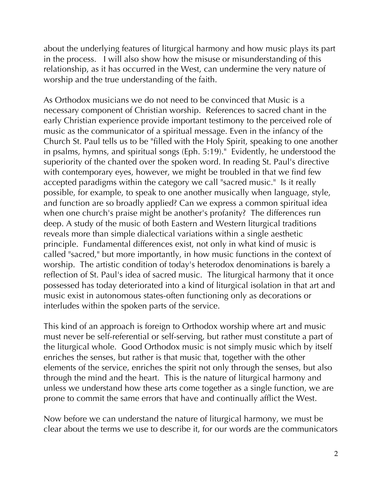about the underlying features of liturgical harmony and how music plays its part in the process. I will also show how the misuse or misunderstanding of this relationship, as it has occurred in the West, can undermine the very nature of worship and the true understanding of the faith.

As Orthodox musicians we do not need to be convinced that Music is a necessary component of Christian worship. References to sacred chant in the early Christian experience provide important testimony to the perceived role of music as the communicator of a spiritual message. Even in the infancy of the Church St. Paul tells us to be "filled with the Holy Spirit, speaking to one another in psalms, hymns, and spiritual songs (Eph. 5:19)." Evidently, he understood the superiority of the chanted over the spoken word. In reading St. Paul's directive with contemporary eyes, however, we might be troubled in that we find few accepted paradigms within the category we call "sacred music." Is it really possible, for example, to speak to one another musically when language, style, and function are so broadly applied? Can we express a common spiritual idea when one church's praise might be another's profanity? The differences run deep. A study of the music of both Eastern and Western liturgical traditions reveals more than simple dialectical variations within a single aesthetic principle. Fundamental differences exist, not only in what kind of music is called "sacred," but more importantly, in how music functions in the context of worship. The artistic condition of today's heterodox denominations is barely a reflection of St. Paul's idea of sacred music. The liturgical harmony that it once possessed has today deteriorated into a kind of liturgical isolation in that art and music exist in autonomous states-often functioning only as decorations or interludes within the spoken parts of the service.

This kind of an approach is foreign to Orthodox worship where art and music must never be self-referential or self-serving, but rather must constitute a part of the liturgical whole. Good Orthodox music is not simply music which by itself enriches the senses, but rather is that music that, together with the other elements of the service, enriches the spirit not only through the senses, but also through the mind and the heart. This is the nature of liturgical harmony and unless we understand how these arts come together as a single function, we are prone to commit the same errors that have and continually afflict the West.

Now before we can understand the nature of liturgical harmony, we must be clear about the terms we use to describe it, for our words are the communicators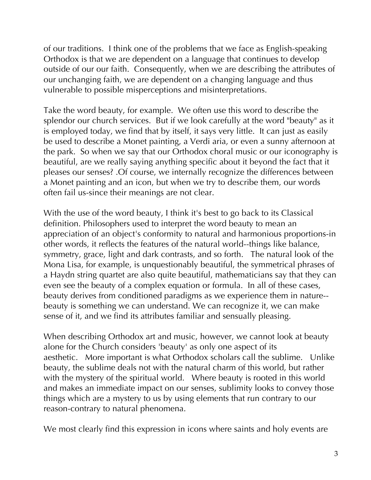of our traditions. I think one of the problems that we face as English-speaking Orthodox is that we are dependent on a language that continues to develop outside of our our faith. Consequently, when we are describing the attributes of our unchanging faith, we are dependent on a changing language and thus vulnerable to possible misperceptions and misinterpretations.

Take the word beauty, for example. We often use this word to describe the splendor our church services. But if we look carefully at the word "beauty" as it is employed today, we find that by itself, it says very little. It can just as easily be used to describe a Monet painting, a Verdi aria, or even a sunny afternoon at the park. So when we say that our Orthodox choral music or our iconography is beautiful, are we really saying anything specific about it beyond the fact that it pleases our senses? .Of course, we internally recognize the differences between a Monet painting and an icon, but when we try to describe them, our words often fail us-since their meanings are not clear.

With the use of the word beauty, I think it's best to go back to its Classical definition. Philosophers used to interpret the word beauty to mean an appreciation of an object's conformity to natural and harmonious proportions-in other words, it reflects the features of the natural world--things like balance, symmetry, grace, light and dark contrasts, and so forth. The natural look of the Mona Lisa, for example, is unquestionably beautiful, the symmetrical phrases of a Haydn string quartet are also quite beautiful, mathematicians say that they can even see the beauty of a complex equation or formula. In all of these cases, beauty derives from conditioned paradigms as we experience them in nature- beauty is something we can understand. We can recognize it, we can make sense of it, and we find its attributes familiar and sensually pleasing.

When describing Orthodox art and music, however, we cannot look at beauty alone for the Church considers 'beauty' as only one aspect of its aesthetic. More important is what Orthodox scholars call the sublime. Unlike beauty, the sublime deals not with the natural charm of this world, but rather with the mystery of the spiritual world. Where beauty is rooted in this world and makes an immediate impact on our senses, sublimity looks to convey those things which are a mystery to us by using elements that run contrary to our reason-contrary to natural phenomena.

We most clearly find this expression in icons where saints and holy events are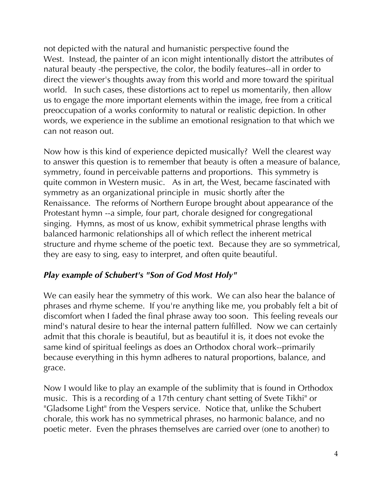not depicted with the natural and humanistic perspective found the West. Instead, the painter of an icon might intentionally distort the attributes of natural beauty -the perspective, the color, the bodily features--all in order to direct the viewer's thoughts away from this world and more toward the spiritual world. In such cases, these distortions act to repel us momentarily, then allow us to engage the more important elements within the image, free from a critical preoccupation of a works conformity to natural or realistic depiction. In other words, we experience in the sublime an emotional resignation to that which we can not reason out.

Now how is this kind of experience depicted musically? Well the clearest way to answer this question is to remember that beauty is often a measure of balance, symmetry, found in perceivable patterns and proportions. This symmetry is quite common in Western music. As in art, the West, became fascinated with symmetry as an organizational principle in music shortly after the Renaissance. The reforms of Northern Europe brought about appearance of the Protestant hymn --a simple, four part, chorale designed for congregational singing. Hymns, as most of us know, exhibit symmetrical phrase lengths with balanced harmonic relationships all of which reflect the inherent metrical structure and rhyme scheme of the poetic text. Because they are so symmetrical, they are easy to sing, easy to interpret, and often quite beautiful.

## *Play example of Schubert's "Son of God Most Holy"*

We can easily hear the symmetry of this work. We can also hear the balance of phrases and rhyme scheme. If you're anything like me, you probably felt a bit of discomfort when I faded the final phrase away too soon. This feeling reveals our mind's natural desire to hear the internal pattern fulfilled. Now we can certainly admit that this chorale is beautiful, but as beautiful it is, it does not evoke the same kind of spiritual feelings as does an Orthodox choral work--primarily because everything in this hymn adheres to natural proportions, balance, and grace.

Now I would like to play an example of the sublimity that is found in Orthodox music. This is a recording of a 17th century chant setting of Svete Tikhi" or "Gladsome Light" from the Vespers service. Notice that, unlike the Schubert chorale, this work has no symmetrical phrases, no harmonic balance, and no poetic meter. Even the phrases themselves are carried over (one to another) to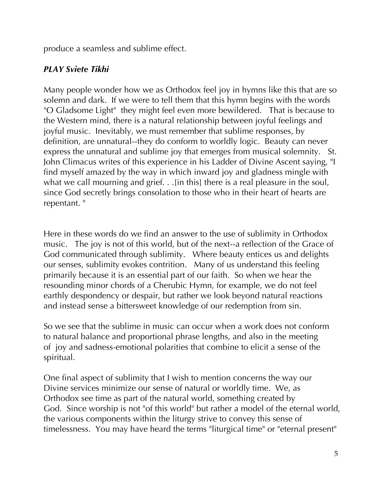produce a seamless and sublime effect.

### *PLAY Sviete Tikhi*

Many people wonder how we as Orthodox feel joy in hymns like this that are so solemn and dark. If we were to tell them that this hymn begins with the words "O Gladsome Light" they might feel even more bewildered. That is because to the Western mind, there is a natural relationship between joyful feelings and joyful music. Inevitably, we must remember that sublime responses, by definition, are unnatural--they do conform to worldly logic. Beauty can never express the unnatural and sublime joy that emerges from musical solemnity. St. John Climacus writes of this experience in his Ladder of Divine Ascent saying, "I find myself amazed by the way in which inward joy and gladness mingle with what we call mourning and grief. . . [in this] there is a real pleasure in the soul, since God secretly brings consolation to those who in their heart of hearts are repentant. "

Here in these words do we find an answer to the use of sublimity in Orthodox music. The joy is not of this world, but of the next--a reflection of the Grace of God communicated through sublimity. Where beauty entices us and delights our senses, sublimity evokes contrition. Many of us understand this feeling primarily because it is an essential part of our faith. So when we hear the resounding minor chords of a Cherubic Hymn, for example, we do not feel earthly despondency or despair, but rather we look beyond natural reactions and instead sense a bittersweet knowledge of our redemption from sin.

So we see that the sublime in music can occur when a work does not conform to natural balance and proportional phrase lengths, and also in the meeting of joy and sadness-emotional polarities that combine to elicit a sense of the spiritual.

One final aspect of sublimity that I wish to mention concerns the way our Divine services minimize our sense of natural or worldly time. We, as Orthodox see time as part of the natural world, something created by God. Since worship is not "of this world" but rather a model of the eternal world, the various components within the liturgy strive to convey this sense of timelessness. You may have heard the terms "liturgical time" or "eternal present"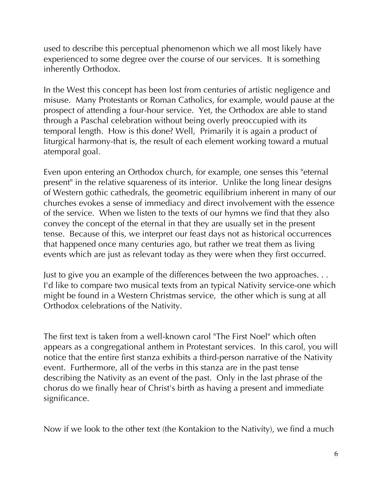used to describe this perceptual phenomenon which we all most likely have experienced to some degree over the course of our services. It is something inherently Orthodox.

In the West this concept has been lost from centuries of artistic negligence and misuse. Many Protestants or Roman Catholics, for example, would pause at the prospect of attending a four-hour service. Yet, the Orthodox are able to stand through a Paschal celebration without being overly preoccupied with its temporal length. How is this done? Well, Primarily it is again a product of liturgical harmony-that is, the result of each element working toward a mutual atemporal goal.

Even upon entering an Orthodox church, for example, one senses this "eternal present" in the relative squareness of its interior. Unlike the long linear designs of Western gothic cathedrals, the geometric equilibrium inherent in many of our churches evokes a sense of immediacy and direct involvement with the essence of the service. When we listen to the texts of our hymns we find that they also convey the concept of the eternal in that they are usually set in the present tense. Because of this, we interpret our feast days not as historical occurrences that happened once many centuries ago, but rather we treat them as living events which are just as relevant today as they were when they first occurred.

Just to give you an example of the differences between the two approaches. . . I'd like to compare two musical texts from an typical Nativity service-one which might be found in a Western Christmas service, the other which is sung at all Orthodox celebrations of the Nativity.

The first text is taken from a well-known carol "The First Noel" which often appears as a congregational anthem in Protestant services. In this carol, you will notice that the entire first stanza exhibits a third-person narrative of the Nativity event. Furthermore, all of the verbs in this stanza are in the past tense describing the Nativity as an event of the past. Only in the last phrase of the chorus do we finally hear of Christ's birth as having a present and immediate significance.

Now if we look to the other text (the Kontakion to the Nativity), we find a much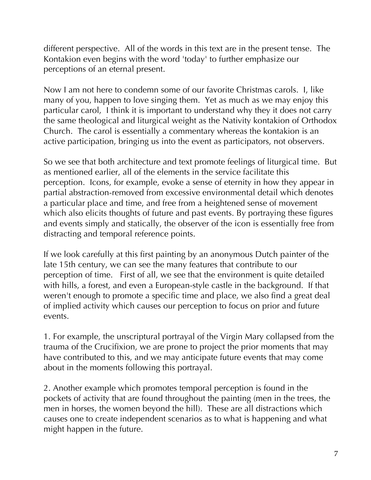different perspective. All of the words in this text are in the present tense. The Kontakion even begins with the word 'today' to further emphasize our perceptions of an eternal present.

Now I am not here to condemn some of our favorite Christmas carols. I, like many of you, happen to love singing them. Yet as much as we may enjoy this particular carol, I think it is important to understand why they it does not carry the same theological and liturgical weight as the Nativity kontakion of Orthodox Church. The carol is essentially a commentary whereas the kontakion is an active participation, bringing us into the event as participators, not observers.

So we see that both architecture and text promote feelings of liturgical time. But as mentioned earlier, all of the elements in the service facilitate this perception. Icons, for example, evoke a sense of eternity in how they appear in partial abstraction-removed from excessive environmental detail which denotes a particular place and time, and free from a heightened sense of movement which also elicits thoughts of future and past events. By portraying these figures and events simply and statically, the observer of the icon is essentially free from distracting and temporal reference points.

If we look carefully at this first painting by an anonymous Dutch painter of the late 15th century, we can see the many features that contribute to our perception of time. First of all, we see that the environment is quite detailed with hills, a forest, and even a European-style castle in the background. If that weren't enough to promote a specific time and place, we also find a great deal of implied activity which causes our perception to focus on prior and future events.

1. For example, the unscriptural portrayal of the Virgin Mary collapsed from the trauma of the Crucifixion, we are prone to project the prior moments that may have contributed to this, and we may anticipate future events that may come about in the moments following this portrayal.

2. Another example which promotes temporal perception is found in the pockets of activity that are found throughout the painting (men in the trees, the men in horses, the women beyond the hill). These are all distractions which causes one to create independent scenarios as to what is happening and what might happen in the future.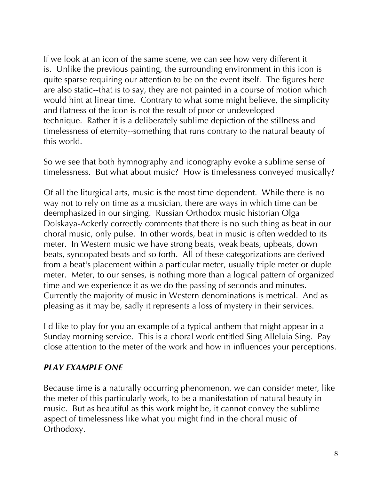If we look at an icon of the same scene, we can see how very different it is. Unlike the previous painting, the surrounding environment in this icon is quite sparse requiring our attention to be on the event itself. The figures here are also static--that is to say, they are not painted in a course of motion which would hint at linear time. Contrary to what some might believe, the simplicity and flatness of the icon is not the result of poor or undeveloped technique. Rather it is a deliberately sublime depiction of the stillness and timelessness of eternity--something that runs contrary to the natural beauty of this world.

So we see that both hymnography and iconography evoke a sublime sense of timelessness. But what about music? How is timelessness conveyed musically?

Of all the liturgical arts, music is the most time dependent. While there is no way not to rely on time as a musician, there are ways in which time can be deemphasized in our singing. Russian Orthodox music historian Olga Dolskaya-Ackerly correctly comments that there is no such thing as beat in our choral music, only pulse. In other words, beat in music is often wedded to its meter. In Western music we have strong beats, weak beats, upbeats, down beats, syncopated beats and so forth. All of these categorizations are derived from a beat's placement within a particular meter, usually triple meter or duple meter. Meter, to our senses, is nothing more than a logical pattern of organized time and we experience it as we do the passing of seconds and minutes. Currently the majority of music in Western denominations is metrical. And as pleasing as it may be, sadly it represents a loss of mystery in their services.

I'd like to play for you an example of a typical anthem that might appear in a Sunday morning service. This is a choral work entitled Sing Alleluia Sing. Pay close attention to the meter of the work and how in influences your perceptions.

#### *PLAY EXAMPLE ONE*

Because time is a naturally occurring phenomenon, we can consider meter, like the meter of this particularly work, to be a manifestation of natural beauty in music. But as beautiful as this work might be, it cannot convey the sublime aspect of timelessness like what you might find in the choral music of Orthodoxy.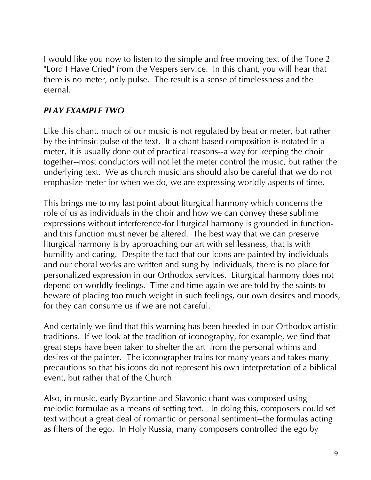I would like you now to listen to the simple and free moving text of the Tone 2 "Lord I Have Cried" from the Vespers service. In this chant, you will hear that there is no meter, only pulse. The result is a sense of timelessness and the eternal.

#### *PLAY EXAMPLE TWO*

Like this chant, much of our music is not regulated by beat or meter, but rather by the intrinsic pulse of the text. If a chant-based composition is notated in a meter, it is usually done out of practical reasons--a way for keeping the choir together--most conductors will not let the meter control the music, but rather the underlying text. We as church musicians should also be careful that we do not emphasize meter for when we do, we are expressing worldly aspects of time.

This brings me to my last point about liturgical harmony which concerns the role of us as individuals in the choir and how we can convey these sublime expressions without interference-for liturgical harmony is grounded in functionand this function must never be altered. The best way that we can preserve liturgical harmony is by approaching our art with selflessness, that is with humility and caring. Despite the fact that our icons are painted by individuals and our choral works are written and sung by individuals, there is no place for personalized expression in our Orthodox services. Liturgical harmony does not depend on worldly feelings. Time and time again we are told by the saints to beware of placing too much weight in such feelings, our own desires and moods, for they can consume us if we are not careful.

And certainly we find that this warning has been heeded in our Orthodox artistic traditions. If we look at the tradition of iconography, for example, we find that great steps have been taken to shelter the art from the personal whims and desires of the painter. The iconographer trains for many years and takes many precautions so that his icons do not represent his own interpretation of a biblical event, but rather that of the Church.

Also, in music, early Byzantine and Slavonic chant was composed using melodic formulae as a means of setting text. In doing this, composers could set text without a great deal of romantic or personal sentiment--the formulas acting as filters of the ego. In Holy Russia, many composers controlled the ego by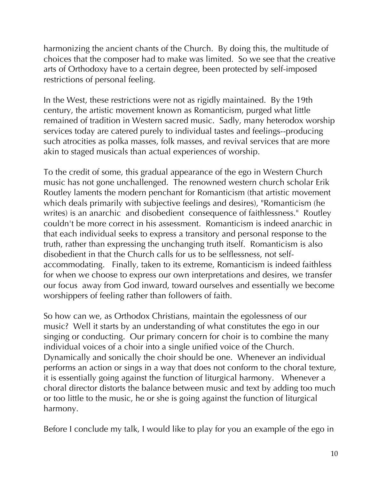harmonizing the ancient chants of the Church. By doing this, the multitude of choices that the composer had to make was limited. So we see that the creative arts of Orthodoxy have to a certain degree, been protected by self-imposed restrictions of personal feeling.

In the West, these restrictions were not as rigidly maintained. By the 19th century, the artistic movement known as Romanticism, purged what little remained of tradition in Western sacred music. Sadly, many heterodox worship services today are catered purely to individual tastes and feelings--producing such atrocities as polka masses, folk masses, and revival services that are more akin to staged musicals than actual experiences of worship.

To the credit of some, this gradual appearance of the ego in Western Church music has not gone unchallenged. The renowned western church scholar Erik Routley laments the modern penchant for Romanticism (that artistic movement which deals primarily with subjective feelings and desires), "Romanticism (he writes) is an anarchic and disobedient consequence of faithlessness." Routley couldn't be more correct in his assessment. Romanticism is indeed anarchic in that each individual seeks to express a transitory and personal response to the truth, rather than expressing the unchanging truth itself. Romanticism is also disobedient in that the Church calls for us to be selflessness, not selfaccommodating. Finally, taken to its extreme, Romanticism is indeed faithless for when we choose to express our own interpretations and desires, we transfer our focus away from God inward, toward ourselves and essentially we become worshippers of feeling rather than followers of faith.

So how can we, as Orthodox Christians, maintain the egolessness of our music? Well it starts by an understanding of what constitutes the ego in our singing or conducting. Our primary concern for choir is to combine the many individual voices of a choir into a single unified voice of the Church. Dynamically and sonically the choir should be one. Whenever an individual performs an action or sings in a way that does not conform to the choral texture, it is essentially going against the function of liturgical harmony. Whenever a choral director distorts the balance between music and text by adding too much or too little to the music, he or she is going against the function of liturgical harmony.

Before I conclude my talk, I would like to play for you an example of the ego in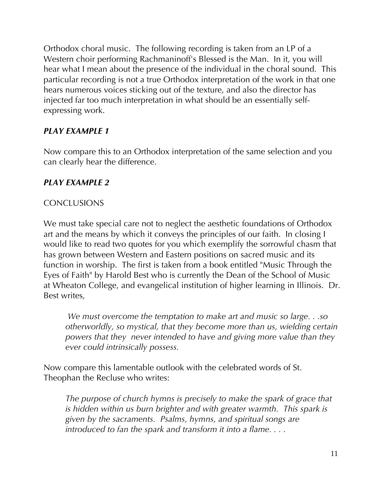Orthodox choral music. The following recording is taken from an LP of a Western choir performing Rachmaninoff's Blessed is the Man. In it, you will hear what I mean about the presence of the individual in the choral sound. This particular recording is not a true Orthodox interpretation of the work in that one hears numerous voices sticking out of the texture, and also the director has injected far too much interpretation in what should be an essentially selfexpressing work.

## *PLAY EXAMPLE 1*

Now compare this to an Orthodox interpretation of the same selection and you can clearly hear the difference.

# *PLAY EXAMPLE 2*

## **CONCLUSIONS**

We must take special care not to neglect the aesthetic foundations of Orthodox art and the means by which it conveys the principles of our faith. In closing I would like to read two quotes for you which exemplify the sorrowful chasm that has grown between Western and Eastern positions on sacred music and its function in worship. The first is taken from a book entitled "Music Through the Eyes of Faith" by Harold Best who is currently the Dean of the School of Music at Wheaton College, and evangelical institution of higher learning in Illinois. Dr. Best writes,

*We must overcome the temptation to make art and music so large. . .so otherworldly, so mystical, that they become more than us, wielding certain powers that they never intended to have and giving more value than they ever could intrinsically possess.*

Now compare this lamentable outlook with the celebrated words of St. Theophan the Recluse who writes:

*The purpose of church hymns is precisely to make the spark of grace that is hidden within us burn brighter and with greater warmth. This spark is given by the sacraments. Psalms, hymns, and spiritual songs are introduced to fan the spark and transform it into a flame. . . .*